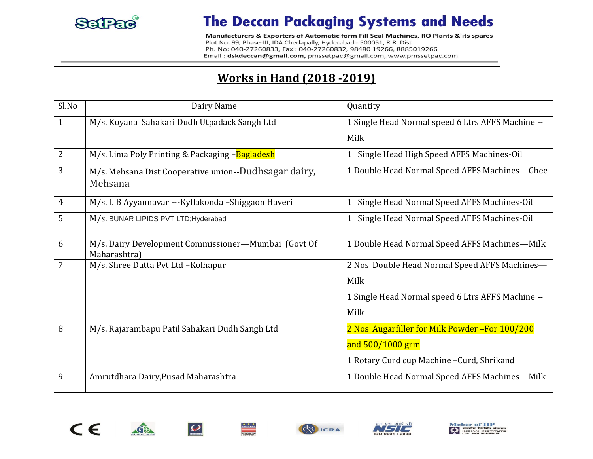

Manufacturers & Exporters of Automatic form Fill Seal Machines, RO Plants & its spares Plot No. 99, Phase-III, IDA Cherlapally, Hyderabad - 500051, R.R. Dist Ph. No: 040-27260833, Fax: 040-27260832, 98480 19266, 8885019266 Email: dskdeccan@gmail.com, pmssetpac@gmail.com, www.pmssetpac.com

#### **Works in Hand (2018 -2019)**

| Sl.No          | Dairy Name                                                          | Quantity                                                   |
|----------------|---------------------------------------------------------------------|------------------------------------------------------------|
| $\mathbf{1}$   | M/s. Koyana Sahakari Dudh Utpadack Sangh Ltd                        | 1 Single Head Normal speed 6 Ltrs AFFS Machine --          |
|                |                                                                     | Milk                                                       |
| $\overline{2}$ | M/s. Lima Poly Printing & Packaging -Bagladesh                      | Single Head High Speed AFFS Machines-Oil                   |
| 3              | M/s. Mehsana Dist Cooperative union--Dudhsagar dairy,<br>Mehsana    | 1 Double Head Normal Speed AFFS Machines-Ghee              |
| 4              | M/s. L B Ayyannavar ---Kyllakonda -Shiggaon Haveri                  | Single Head Normal Speed AFFS Machines-Oil<br>$\mathbf{1}$ |
| 5              | M/s. BUNAR LIPIDS PVT LTD; Hyderabad                                | Single Head Normal Speed AFFS Machines-Oil<br>$\mathbf{1}$ |
| 6              | M/s. Dairy Development Commissioner-Mumbai (Govt Of<br>Maharashtra) | 1 Double Head Normal Speed AFFS Machines-Milk              |
| 7              | M/s. Shree Dutta Pvt Ltd -Kolhapur                                  | 2 Nos Double Head Normal Speed AFFS Machines-              |
|                |                                                                     | Milk                                                       |
|                |                                                                     | 1 Single Head Normal speed 6 Ltrs AFFS Machine --          |
|                |                                                                     | Milk                                                       |
| 8              | M/s. Rajarambapu Patil Sahakari Dudh Sangh Ltd                      | 2 Nos Augarfiller for Milk Powder-For 100/200              |
|                |                                                                     | and 500/1000 grm                                           |
|                |                                                                     | 1 Rotary Curd cup Machine - Curd, Shrikand                 |
| 9              | Amrutdhara Dairy, Pusad Maharashtra                                 | 1 Double Head Normal Speed AFFS Machines-Milk              |





 $|\boldsymbol{\mathcal{Q}}|$ 

心





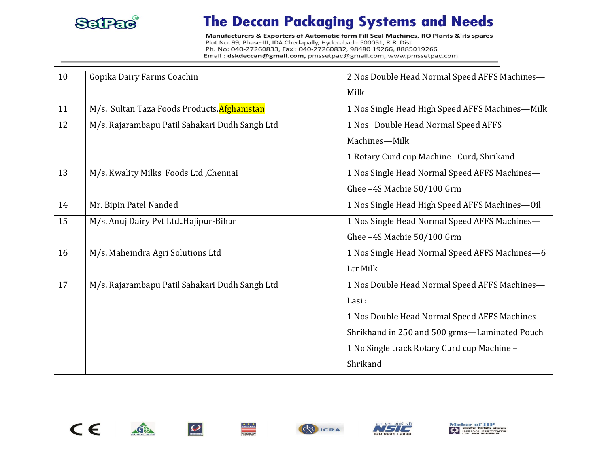

Manufacturers & Exporters of Automatic form Fill Seal Machines, RO Plants & its spares Plot No. 99, Phase-III, IDA Cherlapally, Hyderabad - 500051, R.R. Dist Ph. No: 040-27260833, Fax: 040-27260832, 98480 19266, 8885019266 Email: dskdeccan@gmail.com, pmssetpac@gmail.com, www.pmssetpac.com

| 10 | Gopika Dairy Farms Coachin                     | 2 Nos Double Head Normal Speed AFFS Machines-   |
|----|------------------------------------------------|-------------------------------------------------|
|    |                                                | Milk                                            |
| 11 | M/s. Sultan Taza Foods Products, Afghanistan   | 1 Nos Single Head High Speed AFFS Machines-Milk |
| 12 | M/s. Rajarambapu Patil Sahakari Dudh Sangh Ltd | 1 Nos Double Head Normal Speed AFFS             |
|    |                                                | Machines-Milk                                   |
|    |                                                | 1 Rotary Curd cup Machine - Curd, Shrikand      |
| 13 | M/s. Kwality Milks Foods Ltd, Chennai          | 1 Nos Single Head Normal Speed AFFS Machines-   |
|    |                                                | Ghee-4S Machie 50/100 Grm                       |
| 14 | Mr. Bipin Patel Nanded                         | 1 Nos Single Head High Speed AFFS Machines-Oil  |
| 15 | M/s. Anuj Dairy Pvt Ltd. Hajipur-Bihar         | 1 Nos Single Head Normal Speed AFFS Machines-   |
|    |                                                | Ghee-4S Machie 50/100 Grm                       |
| 16 | M/s. Maheindra Agri Solutions Ltd              | 1 Nos Single Head Normal Speed AFFS Machines-6  |
|    |                                                | Ltr Milk                                        |
| 17 | M/s. Rajarambapu Patil Sahakari Dudh Sangh Ltd | 1 Nos Double Head Normal Speed AFFS Machines-   |
|    |                                                | Lasi:                                           |
|    |                                                | 1 Nos Double Head Normal Speed AFFS Machines-   |
|    |                                                | Shrikhand in 250 and 500 grms—Laminated Pouch   |
|    |                                                | 1 No Single track Rotary Curd cup Machine -     |
|    |                                                | Shrikand                                        |









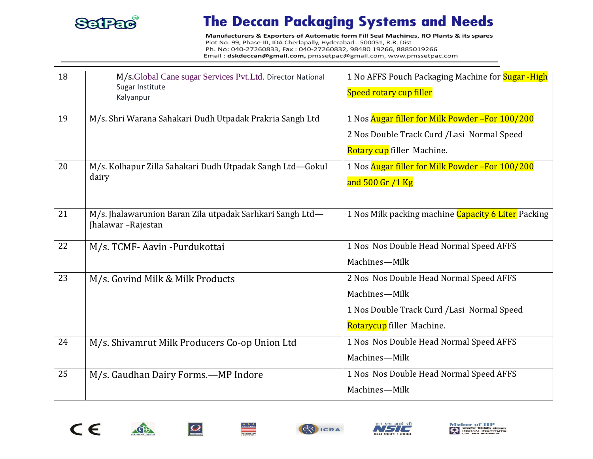

Manufacturers & Exporters of Automatic form Fill Seal Machines, RO Plants & its spares Plot No. 99, Phase-III, IDA Cherlapally, Hyderabad - 500051, R.R. Dist Ph. No: 040-27260833, Fax: 040-27260832, 98480 19266, 8885019266 Email: dskdeccan@gmail.com, pmssetpac@gmail.com, www.pmssetpac.com

| 18 | M/s.Global Cane sugar Services Pvt.Ltd. Director National<br>Sugar Institute<br>Kalyanpur | 1 No AFFS Pouch Packaging Machine for Sugar -High<br>Speed rotary cup filler |
|----|-------------------------------------------------------------------------------------------|------------------------------------------------------------------------------|
| 19 | M/s. Shri Warana Sahakari Dudh Utpadak Prakria Sangh Ltd                                  | 1 Nos Augar filler for Milk Powder - For 100/200                             |
|    |                                                                                           | 2 Nos Double Track Curd / Lasi Normal Speed                                  |
|    |                                                                                           | Rotary cup filler Machine.                                                   |
| 20 | M/s. Kolhapur Zilla Sahakari Dudh Utpadak Sangh Ltd-Gokul<br>dairy                        | 1 Nos Augar filler for Milk Powder - For 100/200                             |
|    |                                                                                           | and 500 Gr /1 Kg                                                             |
| 21 | M/s. Jhalawarunion Baran Zila utpadak Sarhkari Sangh Ltd-<br>Jhalawar-Rajestan            | 1 Nos Milk packing machine Capacity 6 Liter Packing                          |
| 22 | M/s. TCMF-Aavin-Purdukottai                                                               | 1 Nos Nos Double Head Normal Speed AFFS                                      |
|    |                                                                                           | Machines-Milk                                                                |
| 23 | M/s. Govind Milk & Milk Products                                                          | 2 Nos Nos Double Head Normal Speed AFFS                                      |
|    |                                                                                           | Machines-Milk                                                                |
|    |                                                                                           | 1 Nos Double Track Curd / Lasi Normal Speed                                  |
|    |                                                                                           | Rotarycup filler Machine.                                                    |
| 24 | M/s. Shivamrut Milk Producers Co-op Union Ltd                                             | 1 Nos Nos Double Head Normal Speed AFFS                                      |
|    |                                                                                           | Machines-Milk                                                                |
| 25 | M/s. Gaudhan Dairy Forms.-MP Indore                                                       | 1 Nos Nos Double Head Normal Speed AFFS                                      |
|    |                                                                                           | Machines-Milk                                                                |





金